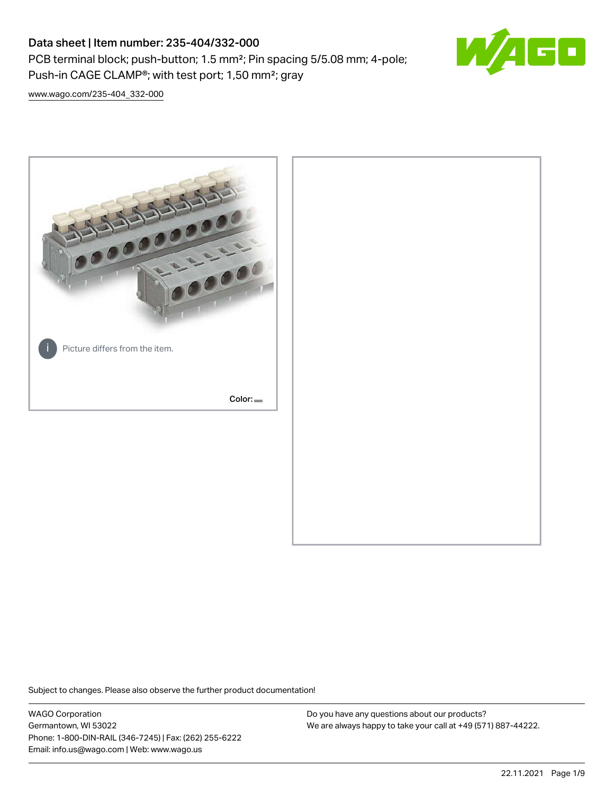## Data sheet | Item number: 235-404/332-000

PCB terminal block; push-button; 1.5 mm²; Pin spacing 5/5.08 mm; 4-pole; Push-in CAGE CLAMP®; with test port; 1,50 mm²; gray



[www.wago.com/235-404\\_332-000](http://www.wago.com/235-404_332-000)



Subject to changes. Please also observe the further product documentation!

WAGO Corporation Germantown, WI 53022 Phone: 1-800-DIN-RAIL (346-7245) | Fax: (262) 255-6222 Email: info.us@wago.com | Web: www.wago.us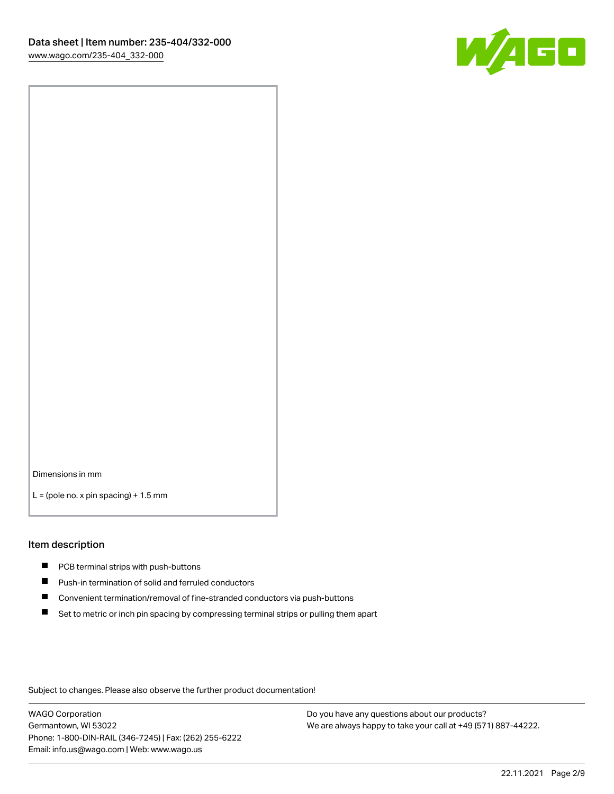

Dimensions in mm

 $L =$  (pole no. x pin spacing) + 1.5 mm

#### Item description

- **PCB terminal strips with push-buttons**
- **Push-in termination of solid and ferruled conductors**
- $\blacksquare$ Convenient termination/removal of fine-stranded conductors via push-buttons
- Set to metric or inch pin spacing by compressing terminal strips or pulling them apart

Subject to changes. Please also observe the further product documentation!

WAGO Corporation Germantown, WI 53022 Phone: 1-800-DIN-RAIL (346-7245) | Fax: (262) 255-6222 Email: info.us@wago.com | Web: www.wago.us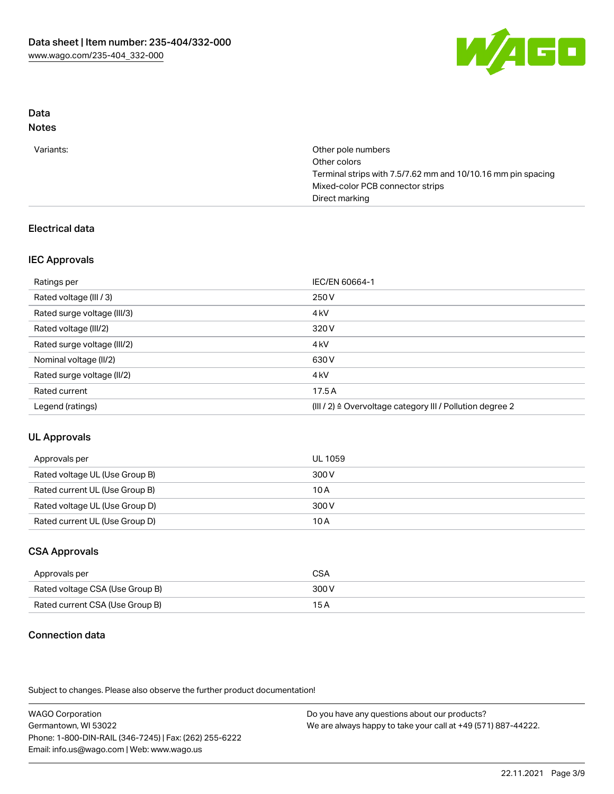

# Data

## Notes

| Variants: | Other pole numbers                                           |
|-----------|--------------------------------------------------------------|
|           | Other colors                                                 |
|           | Terminal strips with 7.5/7.62 mm and 10/10.16 mm pin spacing |
|           | Mixed-color PCB connector strips                             |
|           | Direct marking                                               |

## Electrical data

## IEC Approvals

| Ratings per                 | IEC/EN 60664-1                                            |
|-----------------------------|-----------------------------------------------------------|
| Rated voltage (III / 3)     | 250 V                                                     |
| Rated surge voltage (III/3) | 4 <sub>k</sub> V                                          |
| Rated voltage (III/2)       | 320 V                                                     |
| Rated surge voltage (III/2) | 4 <sub>k</sub> V                                          |
| Nominal voltage (II/2)      | 630 V                                                     |
| Rated surge voltage (II/2)  | 4 <sub>k</sub> V                                          |
| Rated current               | 17.5A                                                     |
| Legend (ratings)            | (III / 2) ≙ Overvoltage category III / Pollution degree 2 |

## UL Approvals

| Approvals per                  | UL 1059 |
|--------------------------------|---------|
| Rated voltage UL (Use Group B) | 300 V   |
| Rated current UL (Use Group B) | 10 A    |
| Rated voltage UL (Use Group D) | 300 V   |
| Rated current UL (Use Group D) | 10 A    |

## CSA Approvals

| Approvals per                   | CSA   |
|---------------------------------|-------|
| Rated voltage CSA (Use Group B) | 300 V |
| Rated current CSA (Use Group B) | 15 A  |

## Connection data

Subject to changes. Please also observe the further product documentation!

| <b>WAGO Corporation</b>                                | Do you have any questions about our products?                 |
|--------------------------------------------------------|---------------------------------------------------------------|
| Germantown, WI 53022                                   | We are always happy to take your call at +49 (571) 887-44222. |
| Phone: 1-800-DIN-RAIL (346-7245)   Fax: (262) 255-6222 |                                                               |
| Email: info.us@wago.com   Web: www.wago.us             |                                                               |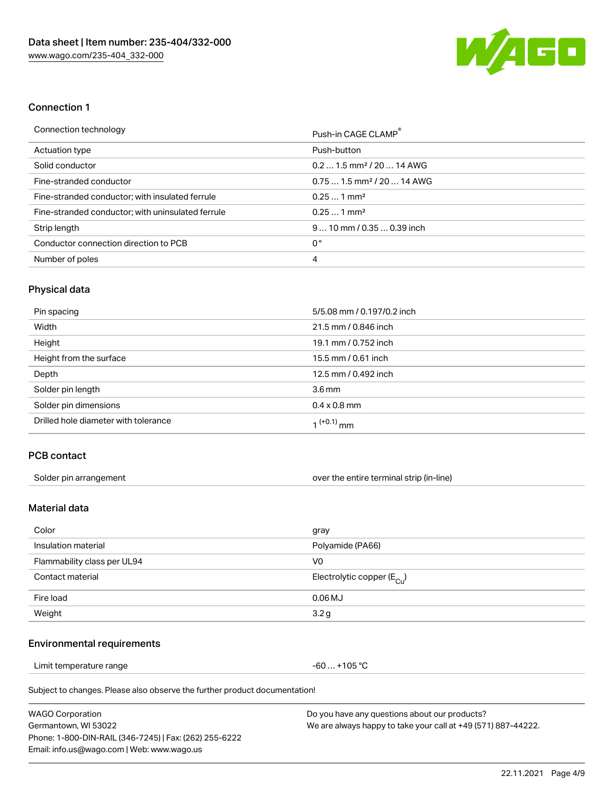

#### Connection 1

| Connection technology                             | Push-in CAGE CLAMP®                    |
|---------------------------------------------------|----------------------------------------|
| Actuation type                                    | Push-button                            |
| Solid conductor                                   | $0.21.5$ mm <sup>2</sup> / 20  14 AWG  |
| Fine-stranded conductor                           | $0.751.5$ mm <sup>2</sup> / 20  14 AWG |
| Fine-stranded conductor; with insulated ferrule   | $0.251$ mm <sup>2</sup>                |
| Fine-stranded conductor; with uninsulated ferrule | $0.251$ mm <sup>2</sup>                |
| Strip length                                      | $910$ mm $/0.350.39$ inch              |
| Conductor connection direction to PCB             | 0°                                     |
| Number of poles                                   | 4                                      |

### Physical data

| Pin spacing                          | 5/5.08 mm / 0.197/0.2 inch |
|--------------------------------------|----------------------------|
| Width                                | 21.5 mm / 0.846 inch       |
| Height                               | 19.1 mm / 0.752 inch       |
| Height from the surface              | 15.5 mm / 0.61 inch        |
| Depth                                | 12.5 mm / 0.492 inch       |
| Solder pin length                    | $3.6 \,\mathrm{mm}$        |
| Solder pin dimensions                | $0.4 \times 0.8$ mm        |
| Drilled hole diameter with tolerance | $1^{(+0.1)}$ mm            |

#### PCB contact

| Solder pin arrangement | over the entire terminal strip (in-line) |
|------------------------|------------------------------------------|
|                        |                                          |

## Material data

| Color                       | gray                                    |
|-----------------------------|-----------------------------------------|
| Insulation material         | Polyamide (PA66)                        |
| Flammability class per UL94 | V0                                      |
| Contact material            | Electrolytic copper ( $E_{\text{Cu}}$ ) |
| Fire load                   | $0.06$ MJ                               |
| Weight                      | 3.2g                                    |

#### Environmental requirements

Limit temperature range  $-60... +105$  °C

Subject to changes. Please also observe the further product documentation!

| <b>WAGO Corporation</b>                                | Do you have any questions about our products?                 |
|--------------------------------------------------------|---------------------------------------------------------------|
| Germantown, WI 53022                                   | We are always happy to take your call at +49 (571) 887-44222. |
| Phone: 1-800-DIN-RAIL (346-7245)   Fax: (262) 255-6222 |                                                               |
| Email: info.us@wago.com   Web: www.wago.us             |                                                               |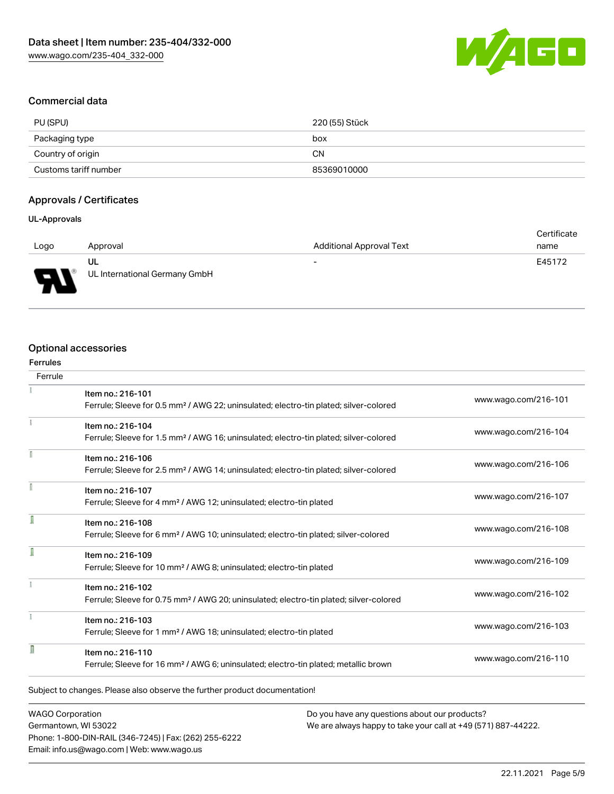

### Commercial data

| PU (SPU)              | 220 (55) Stück |
|-----------------------|----------------|
| Packaging type        | box            |
| Country of origin     | CΝ             |
| Customs tariff number | 85369010000    |

#### Approvals / Certificates

#### UL-Approvals

|                               |                               |                          | Certificate |
|-------------------------------|-------------------------------|--------------------------|-------------|
| Logo                          | Approval                      | Additional Approval Text | name        |
|                               | UL                            | $\overline{\phantom{0}}$ | E45172      |
| L<br>$\overline{\phantom{a}}$ | UL International Germany GmbH |                          |             |

### Optional accessories

| <b>Ferrules</b> |                                                                                                    |                      |
|-----------------|----------------------------------------------------------------------------------------------------|----------------------|
| Ferrule         |                                                                                                    |                      |
|                 | Item no.: 216-101                                                                                  | www.wago.com/216-101 |
|                 | Ferrule; Sleeve for 0.5 mm <sup>2</sup> / AWG 22; uninsulated; electro-tin plated; silver-colored  |                      |
|                 | Item no.: 216-104                                                                                  | www.wago.com/216-104 |
|                 | Ferrule; Sleeve for 1.5 mm <sup>2</sup> / AWG 16; uninsulated; electro-tin plated; silver-colored  |                      |
| f               | Item no.: 216-106                                                                                  |                      |
|                 | Ferrule; Sleeve for 2.5 mm <sup>2</sup> / AWG 14; uninsulated; electro-tin plated; silver-colored  | www.wago.com/216-106 |
|                 | Item no.: 216-107                                                                                  |                      |
|                 | Ferrule; Sleeve for 4 mm <sup>2</sup> / AWG 12; uninsulated; electro-tin plated                    | www.wago.com/216-107 |
| ſ               | Item no.: 216-108                                                                                  |                      |
|                 | Ferrule; Sleeve for 6 mm <sup>2</sup> / AWG 10; uninsulated; electro-tin plated; silver-colored    | www.wago.com/216-108 |
|                 | Item no.: 216-109                                                                                  |                      |
|                 | Ferrule; Sleeve for 10 mm <sup>2</sup> / AWG 8; uninsulated; electro-tin plated                    | www.wago.com/216-109 |
|                 | Item no.: 216-102                                                                                  |                      |
|                 | Ferrule; Sleeve for 0.75 mm <sup>2</sup> / AWG 20; uninsulated; electro-tin plated; silver-colored | www.wago.com/216-102 |
|                 | Item no.: 216-103                                                                                  |                      |
|                 | Ferrule; Sleeve for 1 mm <sup>2</sup> / AWG 18; uninsulated; electro-tin plated                    | www.wago.com/216-103 |
| R               | Item no.: 216-110                                                                                  |                      |
|                 | Ferrule; Sleeve for 16 mm <sup>2</sup> / AWG 6; uninsulated; electro-tin plated; metallic brown    | www.wago.com/216-110 |
|                 |                                                                                                    |                      |
|                 | Subject to changes. Please also observe the further product documentation!                         |                      |
|                 |                                                                                                    |                      |

WAGO Corporation Germantown, WI 53022 Phone: 1-800-DIN-RAIL (346-7245) | Fax: (262) 255-6222 Email: info.us@wago.com | Web: www.wago.us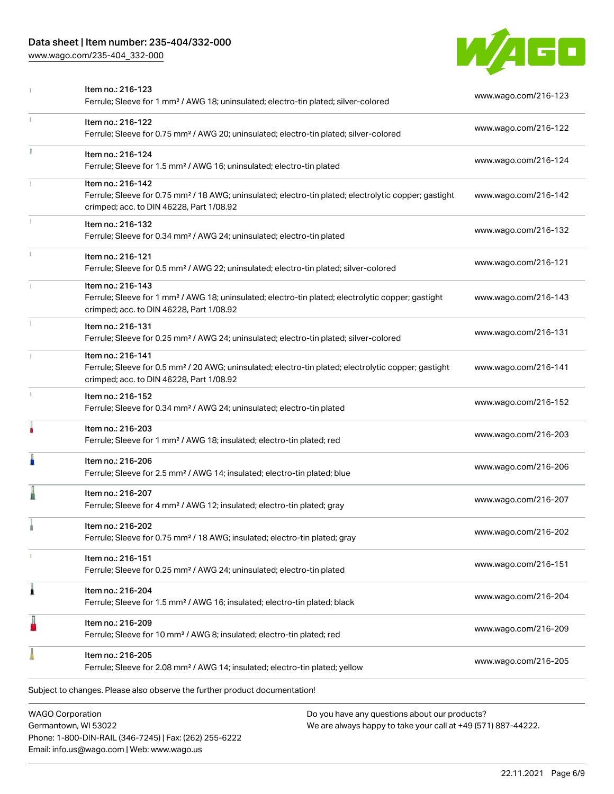## Data sheet | Item number: 235-404/332-000

Phone: 1-800-DIN-RAIL (346-7245) | Fax: (262) 255-6222

Email: info.us@wago.com | Web: www.wago.us

[www.wago.com/235-404\\_332-000](http://www.wago.com/235-404_332-000)



|                                                 | Item no.: 216-123<br>Ferrule; Sleeve for 1 mm <sup>2</sup> / AWG 18; uninsulated; electro-tin plated; silver-colored                                                               |                                                                                                                | www.wago.com/216-123 |
|-------------------------------------------------|------------------------------------------------------------------------------------------------------------------------------------------------------------------------------------|----------------------------------------------------------------------------------------------------------------|----------------------|
| ī.                                              | Item no.: 216-122<br>Ferrule; Sleeve for 0.75 mm <sup>2</sup> / AWG 20; uninsulated; electro-tin plated; silver-colored                                                            |                                                                                                                | www.wago.com/216-122 |
|                                                 | Item no.: 216-124<br>Ferrule; Sleeve for 1.5 mm <sup>2</sup> / AWG 16; uninsulated; electro-tin plated                                                                             |                                                                                                                | www.wago.com/216-124 |
|                                                 | Item no.: 216-142<br>Ferrule; Sleeve for 0.75 mm <sup>2</sup> / 18 AWG; uninsulated; electro-tin plated; electrolytic copper; gastight<br>crimped; acc. to DIN 46228, Part 1/08.92 |                                                                                                                | www.wago.com/216-142 |
|                                                 | Item no.: 216-132<br>Ferrule; Sleeve for 0.34 mm <sup>2</sup> / AWG 24; uninsulated; electro-tin plated                                                                            |                                                                                                                | www.wago.com/216-132 |
|                                                 | Item no.: 216-121<br>Ferrule; Sleeve for 0.5 mm <sup>2</sup> / AWG 22; uninsulated; electro-tin plated; silver-colored                                                             |                                                                                                                | www.wago.com/216-121 |
|                                                 | Item no.: 216-143<br>Ferrule; Sleeve for 1 mm <sup>2</sup> / AWG 18; uninsulated; electro-tin plated; electrolytic copper; gastight<br>crimped; acc. to DIN 46228, Part 1/08.92    |                                                                                                                | www.wago.com/216-143 |
|                                                 | Item no.: 216-131<br>Ferrule; Sleeve for 0.25 mm <sup>2</sup> / AWG 24; uninsulated; electro-tin plated; silver-colored                                                            |                                                                                                                | www.wago.com/216-131 |
|                                                 | Item no.: 216-141<br>Ferrule; Sleeve for 0.5 mm <sup>2</sup> / 20 AWG; uninsulated; electro-tin plated; electrolytic copper; gastight<br>crimped; acc. to DIN 46228, Part 1/08.92  |                                                                                                                | www.wago.com/216-141 |
|                                                 | Item no.: 216-152<br>Ferrule; Sleeve for 0.34 mm <sup>2</sup> / AWG 24; uninsulated; electro-tin plated                                                                            |                                                                                                                | www.wago.com/216-152 |
|                                                 | Item no.: 216-203<br>Ferrule; Sleeve for 1 mm <sup>2</sup> / AWG 18; insulated; electro-tin plated; red                                                                            |                                                                                                                | www.wago.com/216-203 |
| п                                               | Item no.: 216-206<br>Ferrule; Sleeve for 2.5 mm <sup>2</sup> / AWG 14; insulated; electro-tin plated; blue                                                                         |                                                                                                                | www.wago.com/216-206 |
|                                                 | Item no.: 216-207<br>Ferrule; Sleeve for 4 mm <sup>2</sup> / AWG 12; insulated; electro-tin plated; gray                                                                           |                                                                                                                | www.wago.com/216-207 |
|                                                 | Item no.: 216-202<br>Ferrule; Sleeve for 0.75 mm <sup>2</sup> / 18 AWG; insulated; electro-tin plated; gray                                                                        |                                                                                                                | www.wago.com/216-202 |
|                                                 | Item no.: 216-151<br>Ferrule; Sleeve for 0.25 mm <sup>2</sup> / AWG 24; uninsulated; electro-tin plated                                                                            |                                                                                                                | www.wago.com/216-151 |
| 1                                               | Item no.: 216-204<br>Ferrule; Sleeve for 1.5 mm <sup>2</sup> / AWG 16; insulated; electro-tin plated; black                                                                        |                                                                                                                | www.wago.com/216-204 |
|                                                 | Item no.: 216-209<br>Ferrule; Sleeve for 10 mm <sup>2</sup> / AWG 8; insulated; electro-tin plated; red                                                                            |                                                                                                                | www.wago.com/216-209 |
|                                                 | Item no.: 216-205<br>Ferrule; Sleeve for 2.08 mm <sup>2</sup> / AWG 14; insulated; electro-tin plated; yellow                                                                      |                                                                                                                | www.wago.com/216-205 |
|                                                 | Subject to changes. Please also observe the further product documentation!                                                                                                         |                                                                                                                |                      |
| <b>WAGO Corporation</b><br>Germantown, WI 53022 |                                                                                                                                                                                    | Do you have any questions about our products?<br>We are always happy to take your call at +49 (571) 887-44222. |                      |

22.11.2021 Page 6/9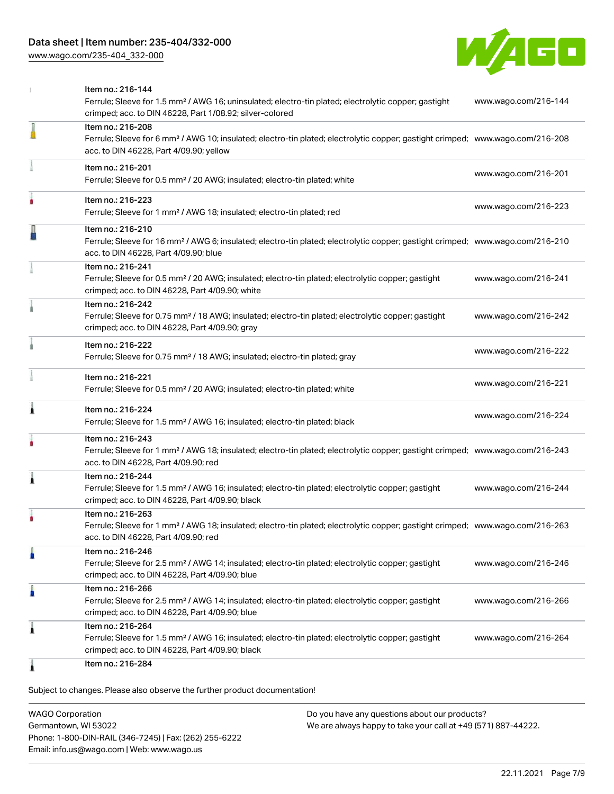[www.wago.com/235-404\\_332-000](http://www.wago.com/235-404_332-000)



|   | Item no.: 216-144<br>Ferrule; Sleeve for 1.5 mm <sup>2</sup> / AWG 16; uninsulated; electro-tin plated; electrolytic copper; gastight<br>crimped; acc. to DIN 46228, Part 1/08.92; silver-colored          | www.wago.com/216-144 |
|---|------------------------------------------------------------------------------------------------------------------------------------------------------------------------------------------------------------|----------------------|
|   | Item no.: 216-208<br>Ferrule; Sleeve for 6 mm <sup>2</sup> / AWG 10; insulated; electro-tin plated; electrolytic copper; gastight crimped; www.wago.com/216-208<br>acc. to DIN 46228, Part 4/09.90; yellow |                      |
|   | Item no.: 216-201<br>Ferrule; Sleeve for 0.5 mm <sup>2</sup> / 20 AWG; insulated; electro-tin plated; white                                                                                                | www.wago.com/216-201 |
|   | Item no.: 216-223<br>Ferrule; Sleeve for 1 mm <sup>2</sup> / AWG 18; insulated; electro-tin plated; red                                                                                                    | www.wago.com/216-223 |
|   | Item no.: 216-210<br>Ferrule; Sleeve for 16 mm <sup>2</sup> / AWG 6; insulated; electro-tin plated; electrolytic copper; gastight crimped; www.wago.com/216-210<br>acc. to DIN 46228, Part 4/09.90; blue   |                      |
|   | Item no.: 216-241<br>Ferrule; Sleeve for 0.5 mm <sup>2</sup> / 20 AWG; insulated; electro-tin plated; electrolytic copper; gastight<br>crimped; acc. to DIN 46228, Part 4/09.90; white                     | www.wago.com/216-241 |
|   | Item no.: 216-242<br>Ferrule; Sleeve for 0.75 mm <sup>2</sup> / 18 AWG; insulated; electro-tin plated; electrolytic copper; gastight<br>crimped; acc. to DIN 46228, Part 4/09.90; gray                     | www.wago.com/216-242 |
|   | Item no.: 216-222<br>Ferrule; Sleeve for 0.75 mm <sup>2</sup> / 18 AWG; insulated; electro-tin plated; gray                                                                                                | www.wago.com/216-222 |
|   | Item no.: 216-221<br>Ferrule; Sleeve for 0.5 mm <sup>2</sup> / 20 AWG; insulated; electro-tin plated; white                                                                                                | www.wago.com/216-221 |
| 1 | Item no.: 216-224<br>Ferrule; Sleeve for 1.5 mm <sup>2</sup> / AWG 16; insulated; electro-tin plated; black                                                                                                | www.wago.com/216-224 |
|   | Item no.: 216-243<br>Ferrule; Sleeve for 1 mm <sup>2</sup> / AWG 18; insulated; electro-tin plated; electrolytic copper; gastight crimped; www.wago.com/216-243<br>acc. to DIN 46228, Part 4/09.90; red    |                      |
| 1 | Item no.: 216-244<br>Ferrule; Sleeve for 1.5 mm <sup>2</sup> / AWG 16; insulated; electro-tin plated; electrolytic copper; gastight<br>crimped; acc. to DIN 46228, Part 4/09.90; black                     | www.wago.com/216-244 |
|   | Item no.: 216-263<br>Ferrule; Sleeve for 1 mm <sup>2</sup> / AWG 18; insulated; electro-tin plated; electrolytic copper; gastight crimped; www.wago.com/216-263<br>acc. to DIN 46228, Part 4/09.90; red    |                      |
|   | Item no.: 216-246<br>Ferrule; Sleeve for 2.5 mm <sup>2</sup> / AWG 14; insulated; electro-tin plated; electrolytic copper; gastight<br>crimped; acc. to DIN 46228, Part 4/09.90; blue                      | www.wago.com/216-246 |
| Ω | Item no.: 216-266<br>Ferrule; Sleeve for 2.5 mm <sup>2</sup> / AWG 14; insulated; electro-tin plated; electrolytic copper; gastight<br>crimped; acc. to DIN 46228, Part 4/09.90; blue                      | www.wago.com/216-266 |
| 1 | Item no.: 216-264<br>Ferrule; Sleeve for 1.5 mm <sup>2</sup> / AWG 16; insulated; electro-tin plated; electrolytic copper; gastight<br>crimped; acc. to DIN 46228, Part 4/09.90; black                     | www.wago.com/216-264 |
|   | Item no.: 216-284                                                                                                                                                                                          |                      |

Subject to changes. Please also observe the further product documentation!

WAGO Corporation Germantown, WI 53022 Phone: 1-800-DIN-RAIL (346-7245) | Fax: (262) 255-6222 Email: info.us@wago.com | Web: www.wago.us Do you have any questions about our products? We are always happy to take your call at +49 (571) 887-44222.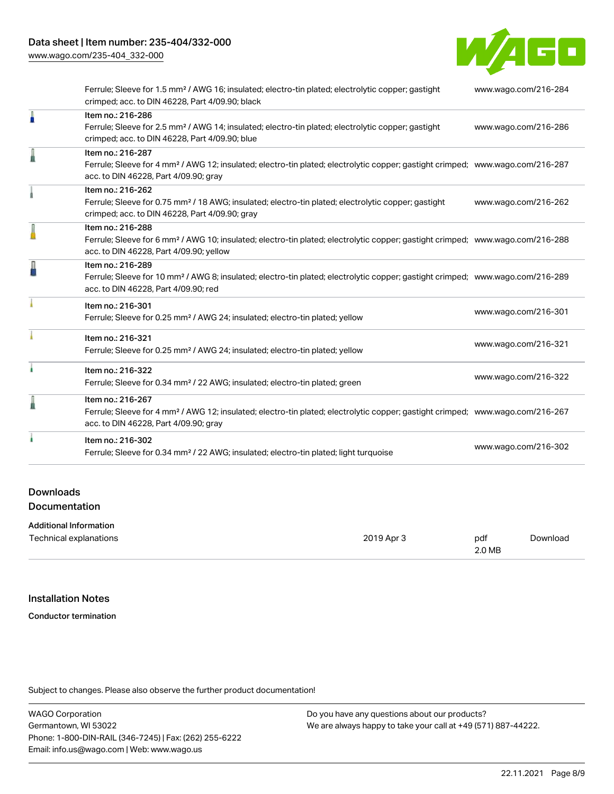[www.wago.com/235-404\\_332-000](http://www.wago.com/235-404_332-000)



|   | Ferrule; Sleeve for 1.5 mm <sup>2</sup> / AWG 16; insulated; electro-tin plated; electrolytic copper; gastight<br>crimped; acc. to DIN 46228, Part 4/09.90; black                                          | www.wago.com/216-284 |
|---|------------------------------------------------------------------------------------------------------------------------------------------------------------------------------------------------------------|----------------------|
| A | Item no.: 216-286<br>Ferrule; Sleeve for 2.5 mm <sup>2</sup> / AWG 14; insulated; electro-tin plated; electrolytic copper; gastight<br>crimped; acc. to DIN 46228, Part 4/09.90; blue                      | www.wago.com/216-286 |
|   | Item no.: 216-287<br>Ferrule; Sleeve for 4 mm <sup>2</sup> / AWG 12; insulated; electro-tin plated; electrolytic copper; gastight crimped; www.wago.com/216-287<br>acc. to DIN 46228, Part 4/09.90; gray   |                      |
|   | Item no.: 216-262<br>Ferrule; Sleeve for 0.75 mm <sup>2</sup> / 18 AWG; insulated; electro-tin plated; electrolytic copper; gastight<br>crimped; acc. to DIN 46228, Part 4/09.90; gray                     | www.wago.com/216-262 |
|   | Item no.: 216-288<br>Ferrule; Sleeve for 6 mm <sup>2</sup> / AWG 10; insulated; electro-tin plated; electrolytic copper; gastight crimped; www.wago.com/216-288<br>acc. to DIN 46228, Part 4/09.90; yellow |                      |
| A | Item no.: 216-289<br>Ferrule; Sleeve for 10 mm <sup>2</sup> / AWG 8; insulated; electro-tin plated; electrolytic copper; gastight crimped; www.wago.com/216-289<br>acc. to DIN 46228, Part 4/09.90; red    |                      |
|   | Item no.: 216-301<br>Ferrule; Sleeve for 0.25 mm <sup>2</sup> / AWG 24; insulated; electro-tin plated; yellow                                                                                              | www.wago.com/216-301 |
|   | Item no.: 216-321<br>Ferrule; Sleeve for 0.25 mm <sup>2</sup> / AWG 24; insulated; electro-tin plated; yellow                                                                                              | www.wago.com/216-321 |
| ۸ | Item no.: 216-322<br>Ferrule; Sleeve for 0.34 mm <sup>2</sup> / 22 AWG; insulated; electro-tin plated; green                                                                                               | www.wago.com/216-322 |
|   | Item no.: 216-267<br>Ferrule; Sleeve for 4 mm <sup>2</sup> / AWG 12; insulated; electro-tin plated; electrolytic copper; gastight crimped; www.wago.com/216-267<br>acc. to DIN 46228, Part 4/09.90; gray   |                      |
|   | Item no.: 216-302<br>Ferrule; Sleeve for 0.34 mm <sup>2</sup> / 22 AWG; insulated; electro-tin plated; light turquoise                                                                                     | www.wago.com/216-302 |
|   |                                                                                                                                                                                                            |                      |

## Downloads Documentation

| <b>Additional Information</b> |            |        |          |
|-------------------------------|------------|--------|----------|
| Technical explanations        | 2019 Apr 3 | pdf    | Download |
|                               |            | 2.0 MB |          |

#### Installation Notes

Conductor termination

Subject to changes. Please also observe the further product documentation!

WAGO Corporation Germantown, WI 53022 Phone: 1-800-DIN-RAIL (346-7245) | Fax: (262) 255-6222 Email: info.us@wago.com | Web: www.wago.us